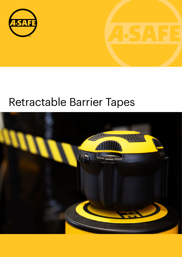

# Retractable Barrier Tapes

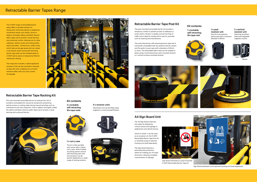#### Retractable Barrier Tapes Range

The A-SAFE range of retractable barrier tapes offers a versatile solution for temporarily restricting vehicle or pedestrian movements within your facility. Quick to deploy, the bright yellow and black chevron fabric tapes serve as both a visual warning and a physical cordon, allowing you to close walkways, vehicle routes and racking aisles easily and safely. Furthermore, unlike cones, which take up storage space and can create a trip hazard, space-saving self-retracting barrier tape reels can be installed easily to A-SAFE barrier posts or temporarily fitted to warehouse racking.

The range also includes a useful signboard accessory that can be mounted in seconds to tape reel units, enabling you to further enhance safety with your own custom A4 signage.



The A4 Sign Board improves site safety by displaying critical notices and signage to pedestrians and vehicle drivers.

Quick to install, it can be used as an accessory to the A-SAFE Retractable Barrier Tape Post Kit or attached using an optional housing unit (sold separately).

The Sign Board features a polycarbonate protective sleeve for holding any A4 sized document, allowing complete customisation of signage.

The post-mounted retractable barrier kit provides a temporary cordon to prevent access to walkways or zones within a facility. It rapidly controls the flow of traffic and is ideal for closing off an area for activities such as cleaning and maintenance.

The multi-directional, self-retracting barrier tape reel is universally compatible with any polymer barrier system and fits easily to post caps with a diameter of 80mm or more. The extendable fabric tape can be clipped in place using a multi-directional, post-mounted receiver or a vertical surface-mounted receiver.

The rack-mounted retractable barrier kit reduces the risk of accidents and pedestrian injuries by temporarily preventing vehicle access to racking aisles during manual activities such as maintenance and rack inspection. Easy to deploy and highly visible, the yellow and black chevron puller tapes serve as both a visual warning and a physical barrier.



The kit is fully portable and comes with a robust carry case, while multiple mounting options ensure self-retracting reel units and receivers can be quickly deployed on a wide range of racking systems



#### Retractable Barrier Tape Post Kit

#### Retractable Barrier Tape Racking Kit

#### Kit contents

#### Kit contents

2 x lockable self-retracting 9m tape reels



## 1 x lockable

self-retracting



9m tape reel



4 x receiver units

#### 1 x carry case

1 x post receiver unit Easy fit to any polymer barrier post with a minimum

Attachment unit can be fitted using magnetic or cord-mounted fitments 1 x vertical receiver unit Featuring mounting holes and integrated magnetic mounts

diameter of 80mm



#### A4 Sign Board Unit



Reverse



Sign Board attached to the optional housing unit (sold separately)